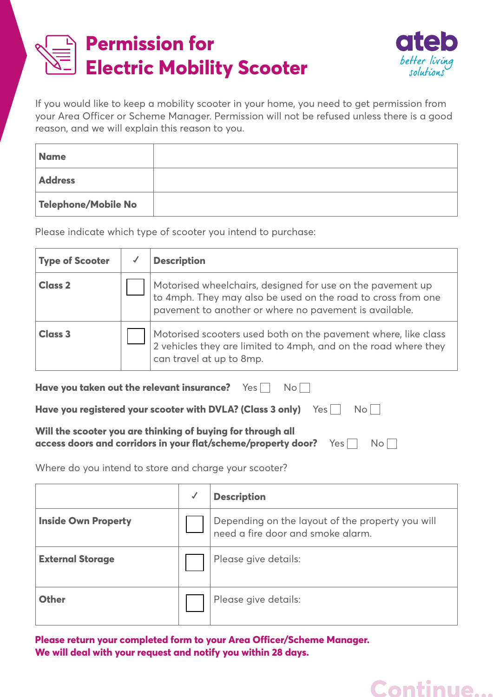



If you would like to keep a mobility scooter in your home, you need to get permission from your Area Officer or Scheme Manager. Permission will not be refused unless there is a good reason, and we will explain this reason to you.

| <b>Name</b>         |  |
|---------------------|--|
| <b>Address</b>      |  |
| Telephone/Mobile No |  |

Please indicate which type of scooter you intend to purchase:

| <b>Type of Scooter</b> | <b>Description</b>                                                                                                                                                                   |
|------------------------|--------------------------------------------------------------------------------------------------------------------------------------------------------------------------------------|
| <b>Class 2</b>         | Motorised wheelchairs, designed for use on the pavement up<br>to 4mph. They may also be used on the road to cross from one<br>pavement to another or where no pavement is available. |
| <b>Class 3</b>         | Motorised scooters used both on the pavement where, like class<br>2 vehicles they are limited to 4mph, and on the road where they<br>can travel at up to 8mp.                        |

| <b>Have you taken out the relevant insurance?</b> Yes $\Box$ No                                                                          |  |  |  |
|------------------------------------------------------------------------------------------------------------------------------------------|--|--|--|
| Have you registered your scooter with DVLA? (Class 3 only) $Yes \Box \ No \Box$                                                          |  |  |  |
| Will the scooter you are thinking of buying for through all<br>access doors and corridors in your flat/scheme/property door?<br>Yes   No |  |  |  |

Where do you intend to store and charge your scooter?

|                            | ✔ | <b>Description</b>                                                                    |
|----------------------------|---|---------------------------------------------------------------------------------------|
| <b>Inside Own Property</b> |   | Depending on the layout of the property you will<br>need a fire door and smoke alarm. |
| <b>External Storage</b>    |   | Please give details:                                                                  |
| <b>Other</b>               |   | Please give details:                                                                  |

**Please return your completed form to your Area Officer/Scheme Manager. We will deal with your request and notify you within 28 days.**

## **Continue...**